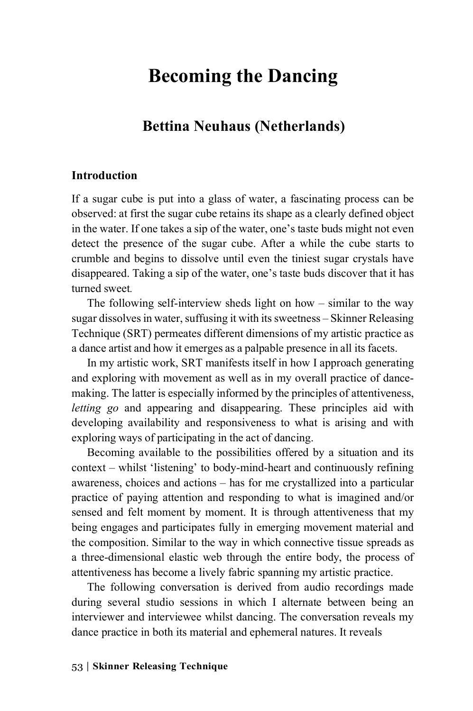# **Becoming the Dancing**

## **Bettina Neuhaus (Netherlands)**

#### **Introduction**

If a sugar cube is put into a glass of water, a fascinating process can be observed: at first the sugar cube retains its shape as a clearly defined object in the water. If one takes a sip of the water, one's taste buds might not even detect the presence of the sugar cube. After a while the cube starts to crumble and begins to dissolve until even the tiniest sugar crystals have disappeared. Taking a sip of the water, one's taste buds discover that it has turned sweet*.*

The following self-interview sheds light on how – similar to the way sugar dissolves in water, suffusing it with its sweetness – Skinner Releasing Technique (SRT) permeates different dimensions of my artistic practice as a dance artist and how it emerges as a palpable presence in all its facets.

In my artistic work, SRT manifests itself in how I approach generating and exploring with movement as well as in my overall practice of dancemaking. The latter is especially informed by the principles of attentiveness, *letting go* and appearing and disappearing. These principles aid with developing availability and responsiveness to what is arising and with exploring ways of participating in the act of dancing.

Becoming available to the possibilities offered by a situation and its context – whilst 'listening' to body-mind-heart and continuously refining awareness, choices and actions – has for me crystallized into a particular practice of paying attention and responding to what is imagined and/or sensed and felt moment by moment. It is through attentiveness that my being engages and participates fully in emerging movement material and the composition. Similar to the way in which connective tissue spreads as a three-dimensional elastic web through the entire body, the process of attentiveness has become a lively fabric spanning my artistic practice.

The following conversation is derived from audio recordings made during several studio sessions in which I alternate between being an interviewer and interviewee whilst dancing. The conversation reveals my dance practice in both its material and ephemeral natures. It reveals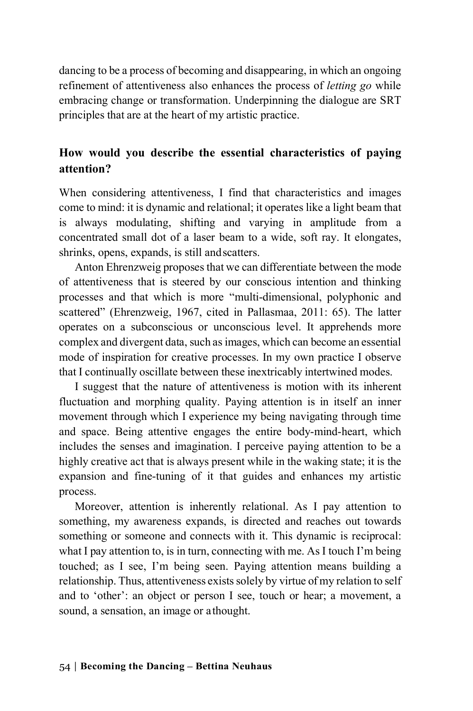dancing to be a process of becoming and disappearing, in which an ongoing refinement of attentiveness also enhances the process of *letting go* while embracing change or transformation. Underpinning the dialogue are SRT principles that are at the heart of my artistic practice.

### **How would you describe the essential characteristics of paying attention?**

When considering attentiveness, I find that characteristics and images come to mind: it is dynamic and relational; it operates like a light beam that is always modulating, shifting and varying in amplitude from a concentrated small dot of a laser beam to a wide, soft ray. It elongates, shrinks, opens, expands, is still andscatters.

Anton Ehrenzweig proposes that we can differentiate between the mode of attentiveness that is steered by our conscious intention and thinking processes and that which is more "multi-dimensional, polyphonic and scattered" (Ehrenzweig, 1967, cited in Pallasmaa, 2011: 65). The latter operates on a subconscious or unconscious level. It apprehends more complex and divergent data, such as images, which can become an essential mode of inspiration for creative processes. In my own practice I observe that I continually oscillate between these inextricably intertwined modes.

I suggest that the nature of attentiveness is motion with its inherent fluctuation and morphing quality. Paying attention is in itself an inner movement through which I experience my being navigating through time and space. Being attentive engages the entire body-mind-heart, which includes the senses and imagination. I perceive paying attention to be a highly creative act that is always present while in the waking state; it is the expansion and fine-tuning of it that guides and enhances my artistic process.

Moreover, attention is inherently relational. As I pay attention to something, my awareness expands, is directed and reaches out towards something or someone and connects with it. This dynamic is reciprocal: what I pay attention to, is in turn, connecting with me. As I touch I'm being touched; as I see, I'm being seen. Paying attention means building a relationship. Thus, attentiveness exists solely by virtue of my relation to self and to 'other': an object or person I see, touch or hear; a movement, a sound, a sensation, an image or athought.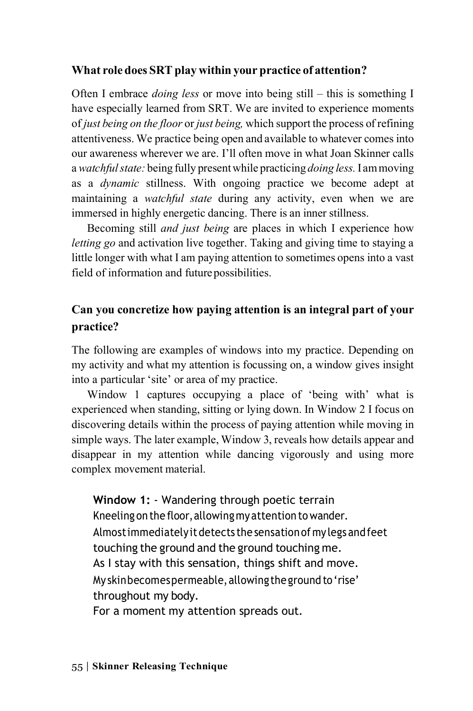#### **What role does SRT play within your practice of attention?**

Often I embrace *doing less* or move into being still – this is something I have especially learned from SRT. We are invited to experience moments of *just being on the floor* or *just being,* which support the process of refining attentiveness. We practice being open and available to whatever comes into our awareness wherever we are. I'll often move in what Joan Skinner calls a *watchfulstate:* being fully presentwhile practicing *doing less.*I ammoving as a *dynamic* stillness. With ongoing practice we become adept at maintaining a *watchful state* during any activity, even when we are immersed in highly energetic dancing. There is an inner stillness.

Becoming still *and just being* are places in which I experience how *letting go* and activation live together. Taking and giving time to staying a little longer with what I am paying attention to sometimes opens into a vast field of information and futurepossibilities.

### **Can you concretize how paying attention is an integral part of your practice?**

The following are examples of windows into my practice. Depending on my activity and what my attention is focussing on, a window gives insight into a particular 'site' or area of my practice.

Window 1 captures occupying a place of 'being with' what is experienced when standing, sitting or lying down. In Window 2 I focus on discovering details within the process of paying attention while moving in simple ways. The later example, Window 3, reveals how details appear and disappear in my attention while dancing vigorously and using more complex movement material.

**Window 1:** - Wandering through poetic terrain Kneeling on the floor, allowing my attention to wander. Almostimmediatelyitdetects the sensationof my legs andfeet touching the ground and the ground touching me. As I stay with this sensation, things shift and move. My skinbecomespermeable, allowing the ground to 'rise' throughout my body. For a moment my attention spreads out.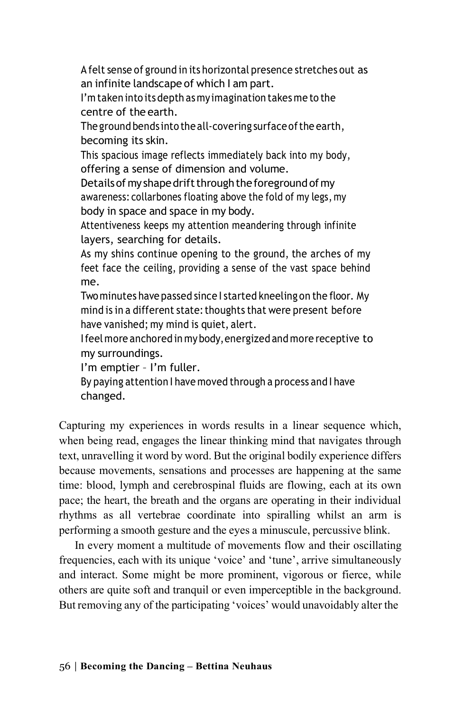A felt sense of ground in its horizontal presence stretches out as an infinite landscape of which I am part.

I'm taken into its depth as myimagination takes me to the centre of the earth.

The ground bends into the all-covering surface of the earth, becoming its skin.

This spacious image reflects immediately back into my body, offering a sense of dimension and volume.

Details of my shape drift through the foreground of my awareness: collarbones floating above the fold of my legs, my body in space and space in my body.

Attentiveness keeps my attention meandering through infinite layers, searching for details.

As my shins continue opening to the ground, the arches of my feet face the ceiling, providing a sense of the vast space behind me.

Two minutes have passed since I started kneeling on the floor. My mind is in a different state: thoughts that were present before have vanished; my mind is quiet, alert.

Ifeel more anchored in mybody,energized and more receptive to my surroundings.

I'm emptier – I'm fuller.

By paying attention I have moved through a process and I have changed.

Capturing my experiences in words results in a linear sequence which, when being read, engages the linear thinking mind that navigates through text, unravelling it word by word. But the original bodily experience differs because movements, sensations and processes are happening at the same time: blood, lymph and cerebrospinal fluids are flowing, each at its own pace; the heart, the breath and the organs are operating in their individual rhythms as all vertebrae coordinate into spiralling whilst an arm is performing a smooth gesture and the eyes a minuscule, percussive blink.

In every moment a multitude of movements flow and their oscillating frequencies, each with its unique 'voice' and 'tune', arrive simultaneously and interact. Some might be more prominent, vigorous or fierce, while others are quite soft and tranquil or even imperceptible in the background. But removing any of the participating 'voices' would unavoidably alter the